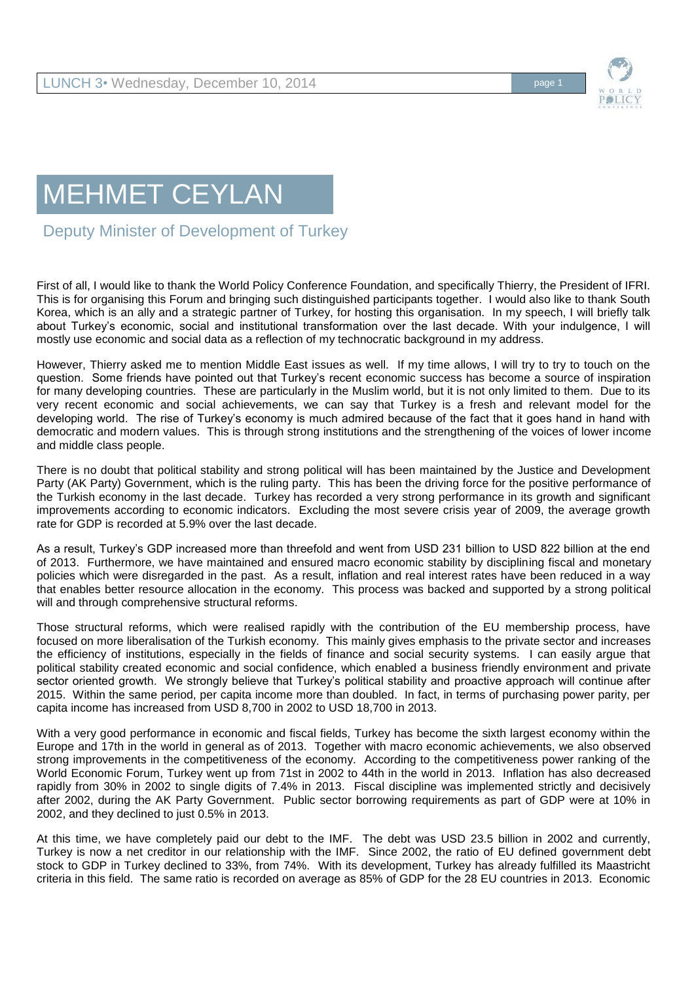

## MEHMET CEYLAN

Deputy Minister of Development of Turkey

First of all, I would like to thank the World Policy Conference Foundation, and specifically Thierry, the President of IFRI. This is for organising this Forum and bringing such distinguished participants together. I would also like to thank South Korea, which is an ally and a strategic partner of Turkey, for hosting this organisation. In my speech, I will briefly talk about Turkey's economic, social and institutional transformation over the last decade. With your indulgence, I will mostly use economic and social data as a reflection of my technocratic background in my address.

However, Thierry asked me to mention Middle East issues as well. If my time allows, I will try to try to touch on the question. Some friends have pointed out that Turkey's recent economic success has become a source of inspiration for many developing countries. These are particularly in the Muslim world, but it is not only limited to them. Due to its very recent economic and social achievements, we can say that Turkey is a fresh and relevant model for the developing world. The rise of Turkey's economy is much admired because of the fact that it goes hand in hand with democratic and modern values. This is through strong institutions and the strengthening of the voices of lower income and middle class people.

There is no doubt that political stability and strong political will has been maintained by the Justice and Development Party (AK Party) Government, which is the ruling party. This has been the driving force for the positive performance of the Turkish economy in the last decade. Turkey has recorded a very strong performance in its growth and significant improvements according to economic indicators. Excluding the most severe crisis year of 2009, the average growth rate for GDP is recorded at 5.9% over the last decade.

As a result, Turkey's GDP increased more than threefold and went from USD 231 billion to USD 822 billion at the end of 2013. Furthermore, we have maintained and ensured macro economic stability by disciplining fiscal and monetary policies which were disregarded in the past. As a result, inflation and real interest rates have been reduced in a way that enables better resource allocation in the economy. This process was backed and supported by a strong political will and through comprehensive structural reforms.

Those structural reforms, which were realised rapidly with the contribution of the EU membership process, have focused on more liberalisation of the Turkish economy. This mainly gives emphasis to the private sector and increases the efficiency of institutions, especially in the fields of finance and social security systems. I can easily argue that political stability created economic and social confidence, which enabled a business friendly environment and private sector oriented growth. We strongly believe that Turkey's political stability and proactive approach will continue after 2015. Within the same period, per capita income more than doubled. In fact, in terms of purchasing power parity, per capita income has increased from USD 8,700 in 2002 to USD 18,700 in 2013.

With a very good performance in economic and fiscal fields, Turkey has become the sixth largest economy within the Europe and 17th in the world in general as of 2013. Together with macro economic achievements, we also observed strong improvements in the competitiveness of the economy. According to the competitiveness power ranking of the World Economic Forum, Turkey went up from 71st in 2002 to 44th in the world in 2013. Inflation has also decreased rapidly from 30% in 2002 to single digits of 7.4% in 2013. Fiscal discipline was implemented strictly and decisively after 2002, during the AK Party Government. Public sector borrowing requirements as part of GDP were at 10% in 2002, and they declined to just 0.5% in 2013.

At this time, we have completely paid our debt to the IMF. The debt was USD 23.5 billion in 2002 and currently, Turkey is now a net creditor in our relationship with the IMF. Since 2002, the ratio of EU defined government debt stock to GDP in Turkey declined to 33%, from 74%. With its development, Turkey has already fulfilled its Maastricht criteria in this field. The same ratio is recorded on average as 85% of GDP for the 28 EU countries in 2013. Economic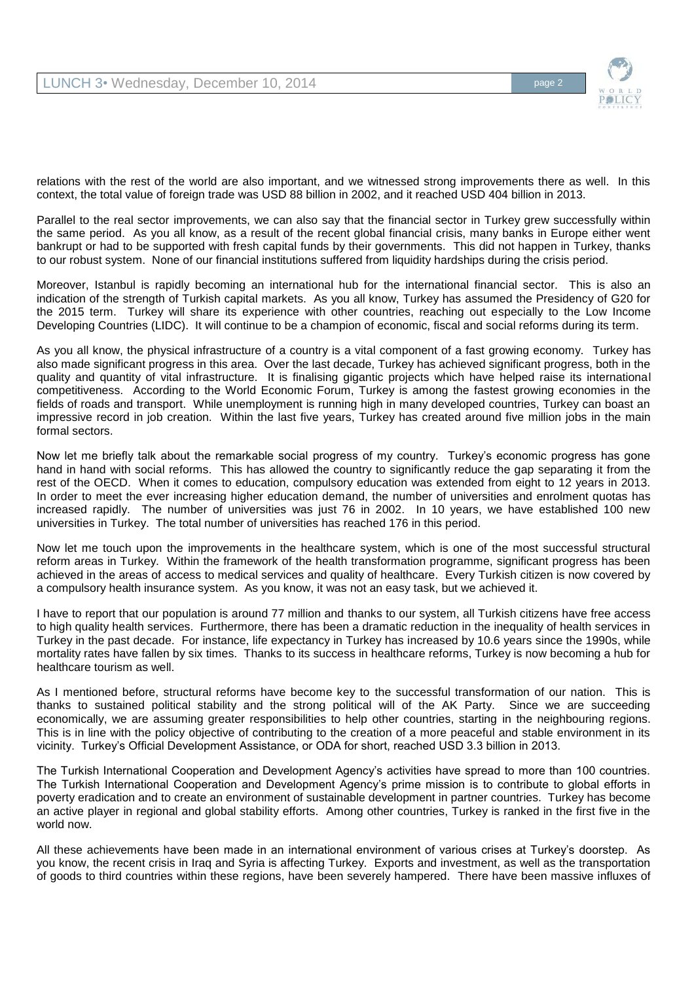

relations with the rest of the world are also important, and we witnessed strong improvements there as well. In this context, the total value of foreign trade was USD 88 billion in 2002, and it reached USD 404 billion in 2013.

Parallel to the real sector improvements, we can also say that the financial sector in Turkey grew successfully within the same period. As you all know, as a result of the recent global financial crisis, many banks in Europe either went bankrupt or had to be supported with fresh capital funds by their governments. This did not happen in Turkey, thanks to our robust system. None of our financial institutions suffered from liquidity hardships during the crisis period.

Moreover, Istanbul is rapidly becoming an international hub for the international financial sector. This is also an indication of the strength of Turkish capital markets. As you all know, Turkey has assumed the Presidency of G20 for the 2015 term. Turkey will share its experience with other countries, reaching out especially to the Low Income Developing Countries (LIDC). It will continue to be a champion of economic, fiscal and social reforms during its term.

As you all know, the physical infrastructure of a country is a vital component of a fast growing economy. Turkey has also made significant progress in this area. Over the last decade, Turkey has achieved significant progress, both in the quality and quantity of vital infrastructure. It is finalising gigantic projects which have helped raise its international competitiveness. According to the World Economic Forum, Turkey is among the fastest growing economies in the fields of roads and transport. While unemployment is running high in many developed countries, Turkey can boast an impressive record in job creation. Within the last five years, Turkey has created around five million jobs in the main formal sectors.

Now let me briefly talk about the remarkable social progress of my country. Turkey's economic progress has gone hand in hand with social reforms. This has allowed the country to significantly reduce the gap separating it from the rest of the OECD. When it comes to education, compulsory education was extended from eight to 12 years in 2013. In order to meet the ever increasing higher education demand, the number of universities and enrolment quotas has increased rapidly. The number of universities was just 76 in 2002. In 10 years, we have established 100 new universities in Turkey. The total number of universities has reached 176 in this period.

Now let me touch upon the improvements in the healthcare system, which is one of the most successful structural reform areas in Turkey. Within the framework of the health transformation programme, significant progress has been achieved in the areas of access to medical services and quality of healthcare. Every Turkish citizen is now covered by a compulsory health insurance system. As you know, it was not an easy task, but we achieved it.

I have to report that our population is around 77 million and thanks to our system, all Turkish citizens have free access to high quality health services. Furthermore, there has been a dramatic reduction in the inequality of health services in Turkey in the past decade. For instance, life expectancy in Turkey has increased by 10.6 years since the 1990s, while mortality rates have fallen by six times. Thanks to its success in healthcare reforms, Turkey is now becoming a hub for healthcare tourism as well.

As I mentioned before, structural reforms have become key to the successful transformation of our nation. This is thanks to sustained political stability and the strong political will of the AK Party. Since we are succeeding economically, we are assuming greater responsibilities to help other countries, starting in the neighbouring regions. This is in line with the policy objective of contributing to the creation of a more peaceful and stable environment in its vicinity. Turkey's Official Development Assistance, or ODA for short, reached USD 3.3 billion in 2013.

The Turkish International Cooperation and Development Agency's activities have spread to more than 100 countries. The Turkish International Cooperation and Development Agency's prime mission is to contribute to global efforts in poverty eradication and to create an environment of sustainable development in partner countries. Turkey has become an active player in regional and global stability efforts. Among other countries, Turkey is ranked in the first five in the world now.

All these achievements have been made in an international environment of various crises at Turkey's doorstep. As you know, the recent crisis in Iraq and Syria is affecting Turkey. Exports and investment, as well as the transportation of goods to third countries within these regions, have been severely hampered. There have been massive influxes of